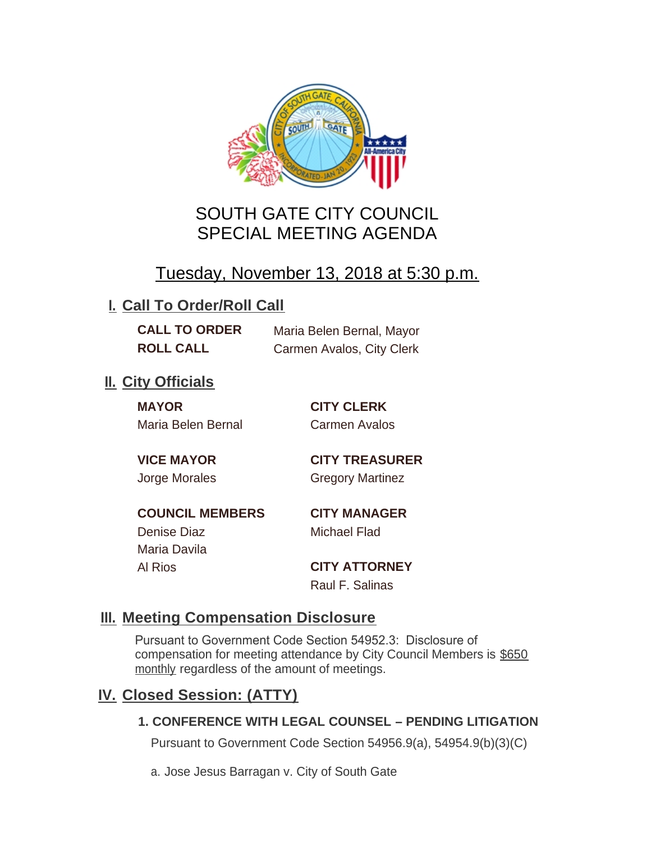

# SOUTH GATE CITY COUNCIL SPECIAL MEETING AGENDA

# Tuesday, November 13, 2018 at 5:30 p.m.

## **I. Call To Order/Roll Call**

**CALL TO ORDER** Maria Belen Bernal, Mayor **ROLL CALL** Carmen Avalos, City Clerk

## **II.** City Officials

**MAYOR CITY CLERK** Maria Belen Bernal Carmen Avalos

**VICE MAYOR CITY TREASURER** Jorge Morales Gregory Martinez

**COUNCIL MEMBERS CITY MANAGER** Denise Diaz Michael Flad Maria Davila

Al Rios **CITY ATTORNEY**

Raul F. Salinas

### **Meeting Compensation Disclosure III.**

Pursuant to Government Code Section 54952.3: Disclosure of compensation for meeting attendance by City Council Members is \$650 monthly regardless of the amount of meetings.

## **Closed Session: (ATTY) IV.**

### **1. CONFERENCE WITH LEGAL COUNSEL – PENDING LITIGATION**

Pursuant to Government Code Section 54956.9(a), 54954.9(b)(3)(C)

a. Jose Jesus Barragan v. City of South Gate